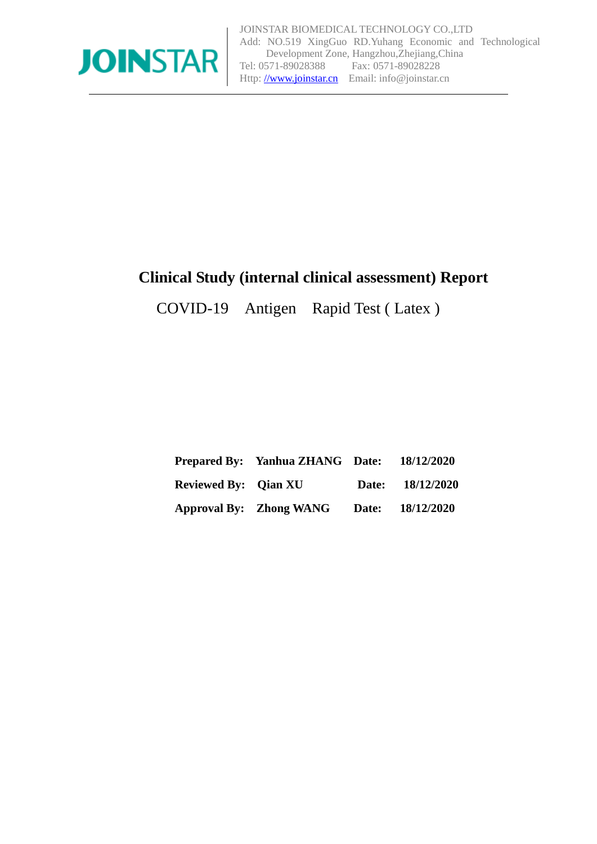

# **Clinical Study (internal clinical assessment) Report**

COVID-19 Antigen Rapid Test ( Latex )

|                             | <b>Prepared By:</b> Yanhua ZHANG Date: | 18/12/2020       |
|-----------------------------|----------------------------------------|------------------|
| <b>Reviewed By:</b> Qian XU |                                        | Date: 18/12/2020 |
|                             | <b>Approval By:</b> Zhong WANG         | Date: 18/12/2020 |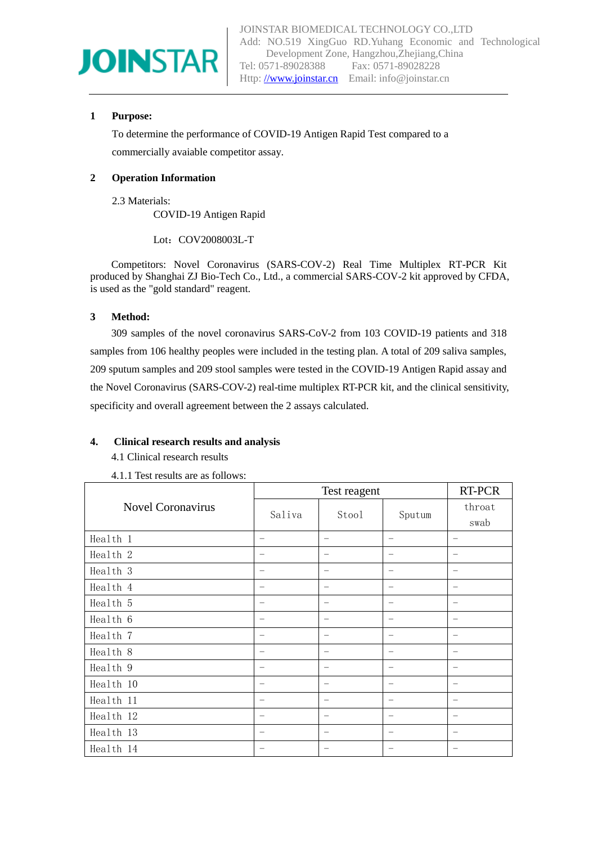

#### **1 Purpose:**

To determine the performance of COVID-19 Antigen Rapid Test compared to a commercially avaiable competitor assay.

#### **2 Operation Information**

2.3 Materials: COVID-19 Antigen Rapid

Lot: COV2008003L-T

Competitors: Novel Coronavirus (SARS-COV-2) Real Time Multiplex RT-PCR Kit produced by Shanghai ZJ Bio-Tech Co., Ltd., a commercial SARS-COV-2 kit approved by CFDA, is used as the "gold standard" reagent.

#### **3 Method:**

309 samples of the novel coronavirus SARS-CoV-2 from 103 COVID-19 patients and 318 samples from 106 healthy peoples were included in the testing plan. A total of 209 saliva samples, 209 sputum samples and 209 stool samples were tested in the COVID-19 Antigen Rapid assay and the Novel Coronavirus (SARS-COV-2) real-time multiplex RT-PCR kit, and the clinical sensitivity, specificity and overall agreement between the 2 assays calculated.

#### **4. Clinical research results and analysis**

4.1 Clinical research results

4.1.1 Test results are as follows:

|                          | Test reagent             |                                |          | RT-PCR                   |
|--------------------------|--------------------------|--------------------------------|----------|--------------------------|
| <b>Novel Coronavirus</b> | Saliva                   | Stool                          | Sputum   | throat<br>swab           |
| Health 1                 | $\equiv$                 | $\overline{\phantom{0}}$       | $\equiv$ | $\equiv$                 |
| Health 2                 |                          |                                |          | $\overline{\phantom{a}}$ |
| Health 3                 | $\equiv$                 | $\qquad \qquad =$              | $\equiv$ | $\overline{\phantom{m}}$ |
| Health 4                 |                          | $\qquad \qquad =$              | —        | $\overline{\phantom{0}}$ |
| Health 5                 | $\overline{\phantom{m}}$ | $\overline{\phantom{m}}$       | -        | $\overline{\phantom{m}}$ |
| Health 6                 |                          |                                | —        | $\overline{\phantom{0}}$ |
| Health 7                 |                          |                                |          | $\overline{\phantom{m}}$ |
| Health 8                 |                          |                                |          | $\overline{\phantom{a}}$ |
| Health 9                 | $\overline{\phantom{0}}$ | $\qquad \qquad \longleftarrow$ | -        | $\overline{\phantom{m}}$ |
| Health 10                | $\equiv$                 | $\equiv$                       | $\equiv$ | $\frac{1}{2}$            |
| Health 11                |                          |                                |          |                          |
| Health 12                | $\overline{\phantom{0}}$ | $\equiv$                       | $\equiv$ | $\frac{1}{2}$            |
| Health 13                |                          | $\overline{\phantom{0}}$       | —        | $\overline{\phantom{a}}$ |
| Health 14                | $\overline{\phantom{0}}$ | $\qquad \qquad \longleftarrow$ | —        | $\overline{\phantom{m}}$ |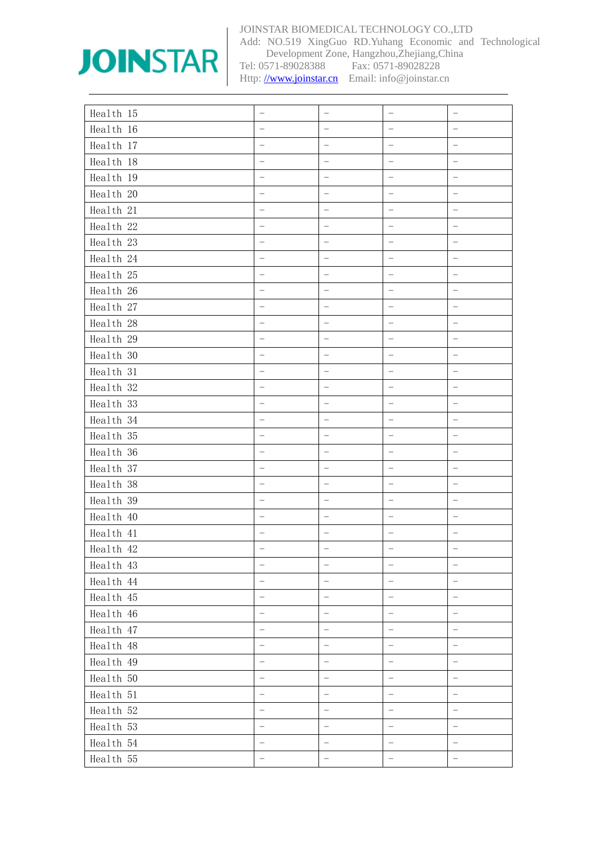

Add: NO.519 XingGuo RD.Yuhang Economic and Technological Development Zone, Hangzhou,Zhejiang,China<br>Tel: 0571-89028388 Fax: 0571-89028228 Fax: 0571-89028228

| Health 15 |                          |                          |                          |                          |
|-----------|--------------------------|--------------------------|--------------------------|--------------------------|
| Health 16 | $\equiv$                 |                          |                          |                          |
| Health 17 |                          |                          |                          | $\overline{\phantom{0}}$ |
| Health 18 |                          |                          |                          |                          |
| Health 19 |                          |                          |                          |                          |
| Health 20 |                          |                          |                          | $\overline{a}$           |
| Health 21 |                          |                          |                          |                          |
| Health 22 |                          |                          |                          |                          |
| Health 23 | $\equiv$                 | $\overline{\phantom{0}}$ | -                        | $\qquad \qquad -$        |
| Health 24 |                          | $\equiv$                 |                          | $\overline{\phantom{0}}$ |
| Health 25 |                          |                          |                          |                          |
| Health 26 | $\equiv$                 | $\equiv$                 | $\overline{\phantom{0}}$ | $\qquad \qquad -$        |
| Health 27 |                          | $\equiv$                 |                          | $\overline{\phantom{0}}$ |
| Health 28 | $\overline{a}$           | $\frac{1}{2}$            |                          |                          |
| Health 29 |                          |                          |                          |                          |
| Health 30 |                          |                          |                          |                          |
| Health 31 |                          | $\equiv$                 | —<br>—                   |                          |
| Health 32 |                          |                          |                          |                          |
| Health 33 |                          | $\qquad \qquad -$        | -                        |                          |
| Health 34 |                          | -                        |                          |                          |
| Health 35 | $\overline{a}$           | $\equiv$                 | $\overline{\phantom{0}}$ | $\qquad \qquad -$        |
| Health 36 |                          | $\qquad \qquad -$        |                          | $\frac{1}{2}$            |
| Health 37 |                          |                          |                          |                          |
| Health 38 |                          |                          |                          |                          |
| Health 39 |                          | $\overline{\phantom{m}}$ | $\overline{\phantom{0}}$ | $\overline{\phantom{0}}$ |
| Health 40 |                          |                          | $\overline{\phantom{0}}$ |                          |
| Health 41 |                          |                          |                          |                          |
| Health 42 |                          | $\qquad \qquad =$        | -                        |                          |
| Health 43 | $\equiv$                 | $\frac{1}{2}$            | $\equiv$                 | $\equiv$                 |
| Health 44 |                          |                          |                          |                          |
| Health 45 | $\rightarrow$            |                          | $\equiv$                 |                          |
| Health 46 | $\equiv$                 | $\overline{a}$           | $\overline{\phantom{0}}$ | $\frac{1}{2}$            |
| Health 47 | $\frac{1}{2}$            | $\frac{1}{2}$            | $\overline{a}$           | $\frac{1}{2}$            |
| Health 48 | $\overline{\phantom{0}}$ | $\equiv$                 | $\equiv$                 | $\equiv$                 |
| Health 49 |                          | $\overline{a}$           |                          | $\frac{1}{2}$            |
| Health 50 | $\overline{a}$           | $\frac{1}{2}$            | -                        | $\overline{a}$           |
| Health 51 | $\equiv$                 | $\equiv$                 | $\rightarrow$            | $\frac{1}{2}$            |
| Health 52 |                          | $\frac{1}{\sqrt{2}}$     | $\qquad \qquad -$        | $\equiv$                 |
| Health 53 | $\equiv$                 | $\equiv$                 | -                        | $\frac{1}{\sqrt{2}}$     |
| Health 54 | $\equiv$                 | $\equiv$                 | $\equiv$                 | $\frac{1}{\sqrt{2}}$     |
| Health 55 | $\equiv$                 | $\frac{1}{2}$            | $\equiv$                 | $\equiv$                 |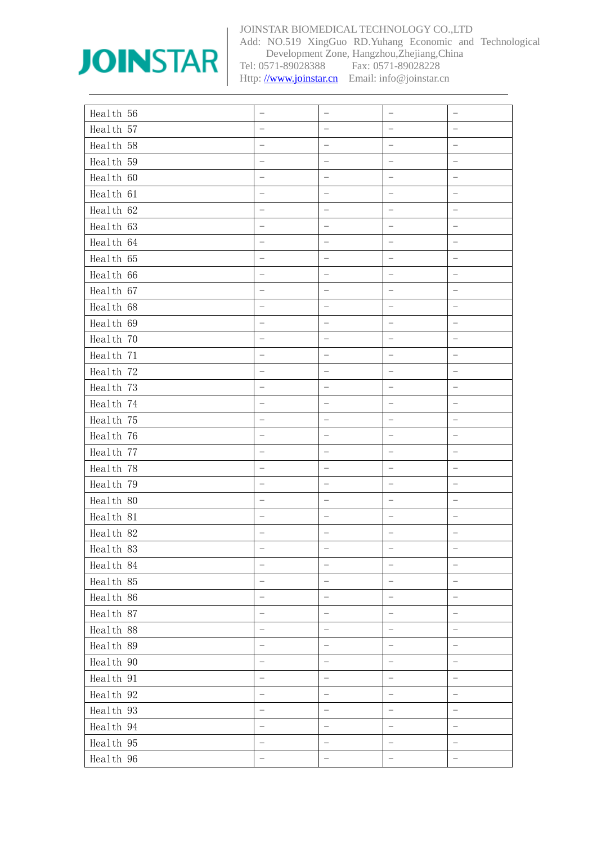

Add: NO.519 XingGuo RD.Yuhang Economic and Technological Development Zone, Hangzhou,Zhejiang,China<br>Tel: 0571-89028388 Fax: 0571-89028228 Fax: 0571-89028228

| Health 56 |                          |                          |                          |                          |
|-----------|--------------------------|--------------------------|--------------------------|--------------------------|
| Health 57 |                          |                          |                          |                          |
| Health 58 |                          | -                        |                          |                          |
| Health 59 |                          |                          |                          | $\overline{\phantom{0}}$ |
| Health 60 |                          |                          |                          |                          |
| Health 61 |                          |                          |                          |                          |
| Health 62 |                          |                          |                          |                          |
| Health 63 | $\frac{1}{2}$            | $\overline{a}$           |                          |                          |
| Health 64 |                          |                          |                          |                          |
| Health 65 |                          |                          |                          |                          |
| Health 66 |                          | —                        |                          |                          |
| Health 67 |                          |                          |                          |                          |
| Health 68 |                          |                          |                          | $\overline{\phantom{a}}$ |
| Health 69 |                          |                          |                          |                          |
| Health 70 | $\equiv$                 | $\overline{\phantom{0}}$ |                          | $\equiv$                 |
| Health 71 |                          |                          |                          | $\overline{\phantom{0}}$ |
| Health 72 |                          |                          |                          |                          |
| Health 73 |                          |                          |                          |                          |
| Health 74 |                          | -                        |                          | $\overline{\phantom{0}}$ |
| Health 75 |                          |                          |                          |                          |
| Health 76 |                          |                          |                          |                          |
| Health 77 |                          | $\overline{\phantom{0}}$ |                          |                          |
| Health 78 |                          | $\overline{\phantom{0}}$ |                          | $\equiv$                 |
| Health 79 |                          |                          |                          |                          |
| Health 80 |                          |                          |                          |                          |
| Health 81 |                          |                          |                          |                          |
| Health 82 |                          |                          |                          |                          |
| Health 83 |                          |                          |                          |                          |
| Health 84 |                          |                          |                          |                          |
| Health 85 | $\overline{\phantom{0}}$ | -                        |                          |                          |
| Health 86 | $\equiv$                 | -                        | $\equiv$                 | $\equiv$                 |
| Health 87 | -                        | -                        | $\equiv$                 | $\qquad \qquad -$        |
| Health 88 |                          | $\equiv$                 | $\equiv$                 | $\overline{\phantom{0}}$ |
| Health 89 | $\overline{ }$           | $\overline{a}$           | $\overline{\phantom{0}}$ | $\equiv$                 |
| Health 90 |                          | ÷                        | $\overline{a}$           | $\qquad \qquad -$        |
| Health 91 |                          |                          |                          | $\equiv$                 |
| Health 92 |                          |                          |                          |                          |
| Health 93 | $\overline{\phantom{0}}$ | -                        | -                        | $\frac{1}{2}$            |
| Health 94 |                          | $\equiv$                 | $\equiv$                 | $\frac{1}{2}$            |
| Health 95 |                          |                          |                          |                          |
| Health 96 | $\equiv$                 | $\equiv$                 | ÷,                       | $\equiv$                 |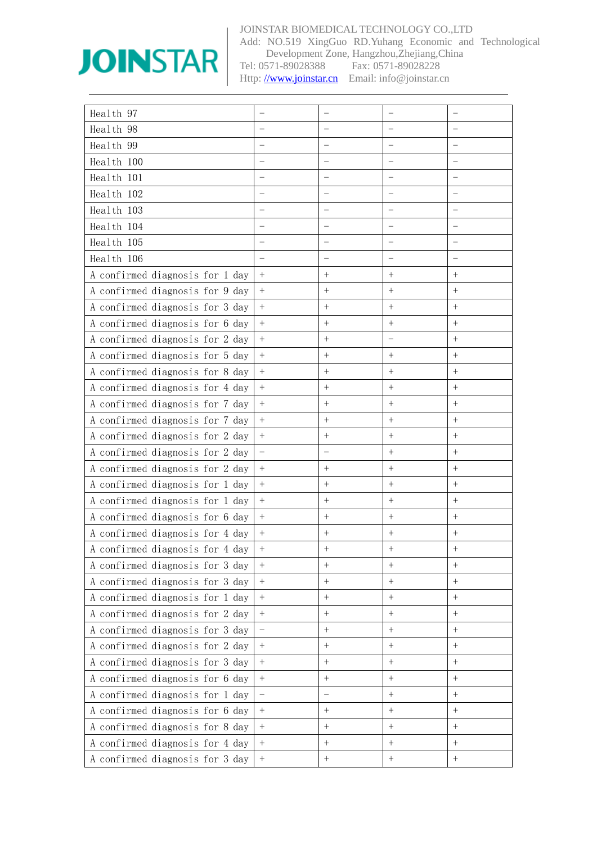

Add: NO.519 XingGuo RD.Yuhang Economic and Technological Development Zone, Hangzhou,Zhejiang,China<br>Tel: 0571-89028388 Fax: 0571-89028228 Fax: 0571-89028228

| Health 97                       |                  |           |                  |                      |
|---------------------------------|------------------|-----------|------------------|----------------------|
| Health 98                       |                  |           |                  |                      |
| Health 99                       |                  |           |                  |                      |
| Health 100                      |                  |           |                  |                      |
| Health 101                      |                  |           |                  |                      |
| Health 102                      |                  |           |                  |                      |
| Health 103                      |                  |           |                  |                      |
| Health 104                      |                  |           |                  |                      |
| Health 105                      |                  |           |                  |                      |
| Health 106                      |                  |           |                  |                      |
| A confirmed diagnosis for 1 day |                  | $^{+}$    | $^{+}$           | $^{+}$               |
| A confirmed diagnosis for 9 day | $^{+}$           | $^{+}$    | $^{+}$           | $^{+}$               |
| A confirmed diagnosis for 3 day | $+$              | $^{+}$    | $^{+}$           | $^{+}$               |
| A confirmed diagnosis for 6 day | $\boldsymbol{+}$ |           | $^{+}$           | $^{+}$               |
| A confirmed diagnosis for 2 day | $+$              | $^{+}$    |                  | $+$                  |
| A confirmed diagnosis for 5 day | $+$              | $^{+}$    | $^{+}$           | $^{+}$               |
| A confirmed diagnosis for 8 day | $\boldsymbol{+}$ |           |                  | $\ddot{\phantom{1}}$ |
| A confirmed diagnosis for 4 day | $\ddot{}$        | $\ddot{}$ | $\ddot{}$        | $+$                  |
| A confirmed diagnosis for 7 day | $+$              | $^{+}$    | $^{+}$           | $^{+}$               |
| A confirmed diagnosis for 7 day | $\boldsymbol{+}$ | $^{+}$    | $^{+}$           | $^{+}$               |
| A confirmed diagnosis for 2 day | $+$              | $\ddot{}$ | $^{+}$           | $^{+}$               |
| A confirmed diagnosis for 2 day |                  |           | $^{+}$           | $^{+}$               |
| A confirmed diagnosis for 2 day | $+$              |           | $^{+}$           | $^{+}$               |
| A confirmed diagnosis for 1 day | $+$              | $^{+}$    | $^{+}$           | $^{+}$               |
| A confirmed diagnosis for 1 day | $\boldsymbol{+}$ | $\ddag$   |                  | $^{+}$               |
| A confirmed diagnosis for 6 day | $\ddot{}$        | $^{+}$    | $^{+}$           | $^{+}$               |
| A confirmed diagnosis for 4 day | $^{+}$           | $^{+}$    |                  | $^{+}$               |
| A confirmed diagnosis for 4 day | $^{+}$           | $^{+}$    | $^{+}$           | $\ddot{}$            |
| A confirmed diagnosis for 3 day | $\ddot{}$        | $^{+}$    | $+$              | $^{+}$               |
| A confirmed diagnosis for 3 day | $\boldsymbol{+}$ |           |                  | $\ddot{}$            |
| A confirmed diagnosis for 1 day | $\ddot{}$        | $\ddot{}$ | $\ddot{}$        | $\ddot{}$            |
| A confirmed diagnosis for 2 day | $+$              |           | $\boldsymbol{+}$ | $\ddot{}$            |
| A confirmed diagnosis for 3 day |                  |           | $\pm$            |                      |
| A confirmed diagnosis for 2 day | $\ddot{}$        | $\ddot{}$ | $\ddot{}$        | $\ddot{\phantom{1}}$ |
| A confirmed diagnosis for 3 day | $+$              |           |                  | $^{+}$               |
| A confirmed diagnosis for 6 day | $\boldsymbol{+}$ |           | $\boldsymbol{+}$ | $\qquad \qquad +$    |
| A confirmed diagnosis for 1 day |                  |           | $\ddot{}$        | $+$                  |
| A confirmed diagnosis for 6 day | $+$              |           | $^{+}$           | $\ddot{}$            |
| A confirmed diagnosis for 8 day | $\boldsymbol{+}$ |           |                  |                      |
| A confirmed diagnosis for 4 day | $+$              | $\ddot{}$ | $\boldsymbol{+}$ | $+$                  |
| A confirmed diagnosis for 3 day | $\boldsymbol{+}$ |           |                  |                      |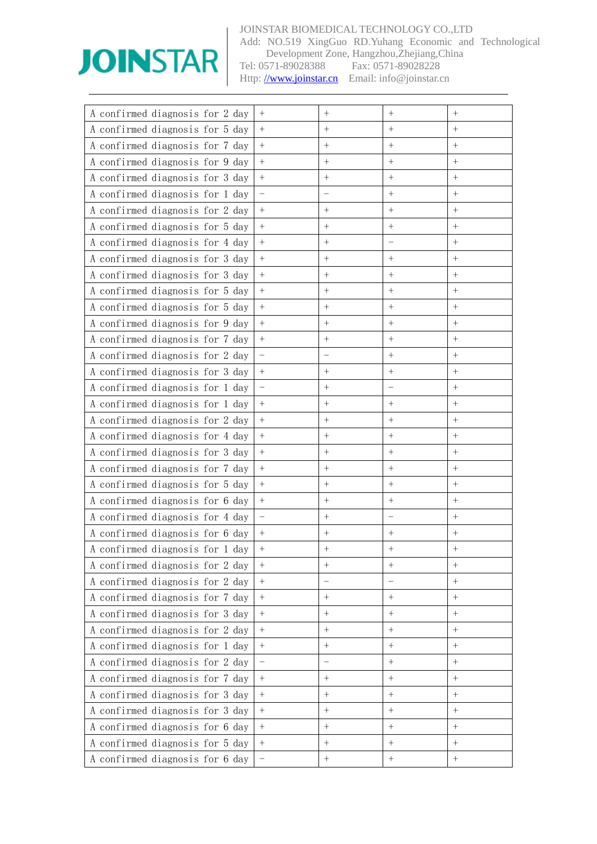

Add: NO.519 XingGuo RD.Yuhang Economic and Technological Development Zone, Hangzhou,Zhejiang,China<br>Tel: 0571-89028388 Fax: 0571-89028228 Fax: 0571-89028228

| A confirmed diagnosis for 2 day | $^{+}$           | $\hspace{0.1mm} +$ |                  |                  |
|---------------------------------|------------------|--------------------|------------------|------------------|
| A confirmed diagnosis for 5 day | $+$              | $^{+}$             | $\overline{+}$   | $\ddot{}$        |
| A confirmed diagnosis for 7 day | $+$              | $^{+}$             | $^{+}$           | $^{+}$           |
| A confirmed diagnosis for 9 day | $+$              | $^{+}$             | $^{+}$           | $+$              |
| A confirmed diagnosis for 3 day | $+$              | $^{+}$             | $^{+}$           | $+$              |
| A confirmed diagnosis for 1 day |                  |                    | $^{+}$           | $+$              |
| A confirmed diagnosis for 2 day | $+$              | $^{+}$             | $\overline{+}$   |                  |
| A confirmed diagnosis for 5 day | $+$              | $^{+}$             | $^{+}$           | $^{+}$           |
| A confirmed diagnosis for 4 day | $\overline{+}$   | $^{+}$             |                  | $^{+}$           |
| A confirmed diagnosis for 3 day | $+$              | $^{+}$             | $^{+}$           |                  |
| A confirmed diagnosis for 3 day | $+$              | $^{+}$             | $+$              | $^{+}$           |
| A confirmed diagnosis for 5 day | $\boldsymbol{+}$ | $^{+}$             | $^{+}$           | $+$              |
| A confirmed diagnosis for 5 day | $\boldsymbol{+}$ | $^{+}$             | $^{+}$           | $^{+}$           |
| A confirmed diagnosis for 9 day | $\ddot{}$        | $^{+}$             | $\ddot{}$        | $+$              |
| A confirmed diagnosis for 7 day | $+$              | $^{+}$             | $^{+}$           | $^{+}$           |
| A confirmed diagnosis for 2 day |                  |                    | $^{+}$           | $^{+}$           |
| A confirmed diagnosis for 3 day | $\boldsymbol{+}$ | $^{+}$             | $\ddag$          | $+$              |
| A confirmed diagnosis for 1 day |                  | $^{+}$             |                  | $^{+}$           |
| A confirmed diagnosis for 1 day | $\pm$            | $^{+}$             | $^{+}$           | $^{+}$           |
| A confirmed diagnosis for 2 day | $+$              | $^{+}$             | $\ddot{}$        | $^{+}$           |
| A confirmed diagnosis for 4 day | $+$              | $^{+}$             | $^{+}$           | $+$              |
| A confirmed diagnosis for 3 day | $+$              | $^{+}$             | $^{+}$           | $^{+}$           |
| A confirmed diagnosis for 7 day |                  | $^{+}$             | $^{+}$           | $^{+}$           |
| A confirmed diagnosis for 5 day | $+$              | $^{+}$             | $^{+}$           |                  |
| A confirmed diagnosis for 6 day | $\ddot{}$        | $^{+}$             | $\overline{+}$   | $^{+}$           |
| A confirmed diagnosis for 4 day |                  | $^{+}$             |                  | $^{+}$           |
| A confirmed diagnosis for 6 day |                  | $^{+}$             | $^{+}$           | $^{+}$           |
| A confirmed diagnosis for 1 day |                  | $^{+}$             | $^{+}$           | $^{+}$           |
| A confirmed diagnosis for 2 day | $\pm$            | $^{+}$             | $^{+}$           |                  |
| A confirmed diagnosis for 2 day | $+$              |                    |                  | $+$              |
| A confirmed diagnosis for 7 day | $\boldsymbol{+}$ | $\! +$             | $^{+}$           | $+$              |
| A confirmed diagnosis for 3 day | $\boldsymbol{+}$ |                    |                  | $+$              |
| A confirmed diagnosis for 2 day | $\, +$           | $\ddot{}$          | $\ddot{}$        | $+$              |
| A confirmed diagnosis for 1 day | $+$              | $\ddag$            | $\boldsymbol{+}$ | $+$              |
| A confirmed diagnosis for 2 day |                  |                    |                  |                  |
| A confirmed diagnosis for 7 day | $\ddot{}$        | $\ddot{}$          | $\ddot{}$        | $+$              |
| A confirmed diagnosis for 3 day | $+$              | $^{+}$             | $\ddot{}$        | $+$              |
| A confirmed diagnosis for 3 day | $\boldsymbol{+}$ | $^{+}$             |                  |                  |
| A confirmed diagnosis for 6 day | $\boldsymbol{+}$ | $\ddot{}$          | $\ddot{}$        | $\boldsymbol{+}$ |
| A confirmed diagnosis for 5 day | $\boldsymbol{+}$ | $\ddag$            | $^{+}$           | $+$              |
| A confirmed diagnosis for 6 day |                  | $\qquad \qquad +$  | $\boldsymbol{+}$ | $\boldsymbol{+}$ |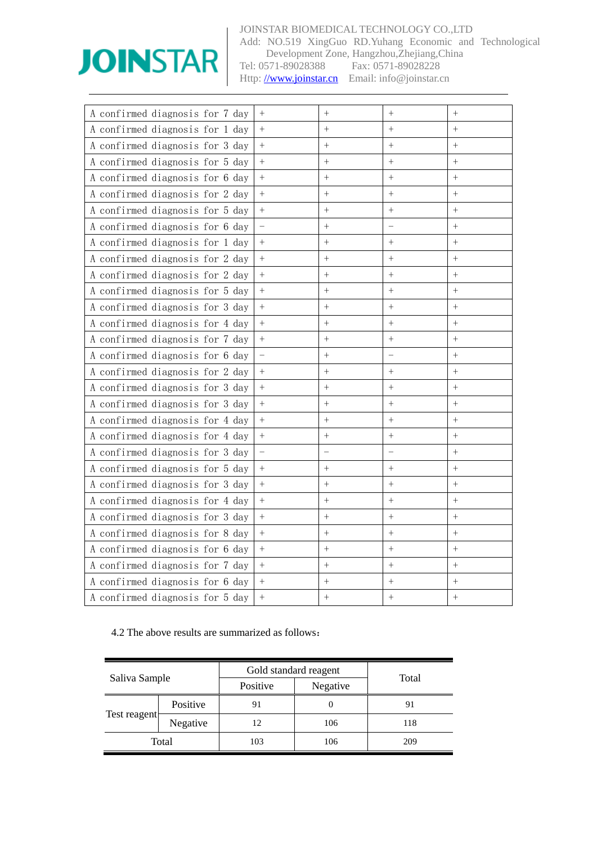

Add: NO.519 XingGuo RD.Yuhang Economic and Technological Development Zone, Hangzhou,Zhejiang,China<br>Tel: 0571-89028388 Fax: 0571-89028228 Fax: 0571-89028228

Http: [//www.joinstar.cn](mailto:www.joinstar.cn) Email: info@joinstar.cn

| A confirmed diagnosis for 7 day | $^{+}$         | $^{+}$    | $\overline{+}$ | $^{+}$    |
|---------------------------------|----------------|-----------|----------------|-----------|
| A confirmed diagnosis for 1 day | $\ddot{}$      | $\ddot{}$ | $\ddot{}$      | $+$       |
| A confirmed diagnosis for 3 day | $+$            | $^{+}$    | $^{+}$         | $+$       |
| A confirmed diagnosis for 5 day | $\ddot{}$      | $\ddag$   | $\ddot{}$      | $\ddot{}$ |
| A confirmed diagnosis for 6 day | $^{+}$         | $^{+}$    | $\overline{+}$ | $^{+}$    |
| A confirmed diagnosis for 2 day | $+$            | $^{+}$    | $\ddot{}$      | $+$       |
| A confirmed diagnosis for 5 day | $+$            | $^{+}$    | $^{+}$         | $+$       |
| A confirmed diagnosis for 6 day |                | $^{+}$    |                | $^{+}$    |
| A confirmed diagnosis for 1 day | $\ddot{}$      | $\ddot{}$ | $\ddot{}$      | $+$       |
| A confirmed diagnosis for 2 day | $+$            | $^{+}$    | $\ddot{}$      | $+$       |
| A confirmed diagnosis for 2 day | $+$            | $^{+}$    | $^{+}$         | $+$       |
| A confirmed diagnosis for 5 day | $+$            | $^{+}$    | $\ddot{}$      | $+$       |
| A confirmed diagnosis for 3 day | $^{+}$         | $^{+}$    | $^{+}$         | $^{+}$    |
| A confirmed diagnosis for 4 day | $\ddot{+}$     | $\ddot{}$ | $\ddot{}$      | $+$       |
| A confirmed diagnosis for 7 day | $\ddag$        | $^{+}$    | $\ddot{}$      | $+$       |
| A confirmed diagnosis for 6 day |                | $^{+}$    |                | $\ddot{}$ |
| A confirmed diagnosis for 2 day | $+$            | $^{+}$    | $\ddot{}$      | $+$       |
| A confirmed diagnosis for 3 day | $^{+}$         | $\ddag$   | $\ddot{}$      | $+$       |
| A confirmed diagnosis for 3 day | $\ddot{+}$     | $\ddag$   | $\ddot{}$      | $+$       |
| A confirmed diagnosis for 4 day | $^{+}$         | $^{+}$    | $\overline{+}$ | $^{+}$    |
| A confirmed diagnosis for 4 day | $+$            | $^{+}$    | $^{+}$         | $+$       |
| A confirmed diagnosis for 3 day |                |           |                | $+$       |
| A confirmed diagnosis for 5 day | $\ddot{}$      | $^{+}$    | $^{+}$         | $+$       |
| A confirmed diagnosis for 3 day | $\ddot{}$      | $^{+}$    | $^{+}$         | $^{+}$    |
| A confirmed diagnosis for 4 day | $\ddag$        | $^{+}$    | $^{+}$         | $+$       |
| A confirmed diagnosis for 3 day | $^{+}$         | $^{+}$    | $^{+}$         | $+$       |
| A confirmed diagnosis for 8 day | $\ddot{+}$     | $\ddag$   | $\ddot{}$      | $\ddot{}$ |
| A confirmed diagnosis for 6 day | $^{+}$         | $^{+}$    | $^{+}$         | $^{+}$    |
| A confirmed diagnosis for 7 day | $\ddot{}$      | $\ddot{}$ | $\ddot{}$      | $+$       |
| A confirmed diagnosis for 6 day | $\overline{+}$ | $^{+}$    | $^{+}$         | $^{+}$    |
| A confirmed diagnosis for 5 day | $\ddot{}$      | $^{+}$    | $\overline{+}$ | $+$       |

### 4.2 The above results are summarized as follows:

|               |          | Gold standard reagent |          |       |
|---------------|----------|-----------------------|----------|-------|
| Saliva Sample |          | Positive              | Negative | Total |
|               | Positive | 91                    | 0        | 91    |
| Test reagent  | Negative | 12                    | 106      | 118   |
|               | Total    | 103                   | 106      | 209   |